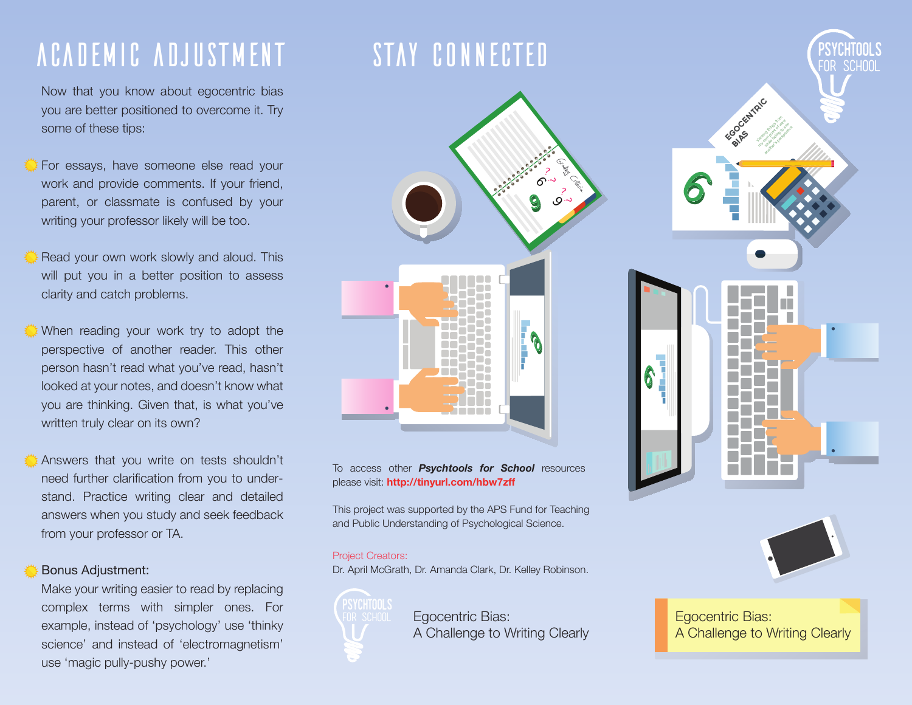### AcadeMic AdjusTment

Now that you know about egocentric bias you are better positioned to overcome it. Try some of these tips:

- For essays, have someone else read your work and provide comments. If your friend, parent, or classmate is confused by your writing your professor likely will be too.
- Read your own work slowly and aloud. This will put you in a better position to assess clarity and catch problems.
- When reading your work try to adopt the perspective of another reader. This other person hasn't read what you've read, hasn't looked at your notes, and doesn't know what you are thinking. Given that, is what you've written truly clear on its own?
	- Answers that you write on tests shouldn't need further clarification from you to understand. Practice writing clear and detailed answers when you study and seek feedback from your professor or TA.

#### Bonus Adjustment:

Make your writing easier to read by replacing complex terms with simpler ones. For example, instead of 'psychology' use 'thinky science' and instead of 'electromagnetism' use 'magic pully-pushy power.'

### STAY CONNECTED



To access other *Psychtools for School* resources please visit: **http://tinyurl.com/hbw7zff**

This project was supported by the APS Fund for Teaching and Public Understanding of Psychological Science.

#### Project Creators:

Psychtools

Dr. April McGrath, Dr. Amanda Clark, Dr. Kelley Robinson.

FOR SCHOOL Egocentric Bias: **Egocentric Bias:** Egocentric Bias: A Challenge to Writing Clearly





A Challenge to Writing Clearly